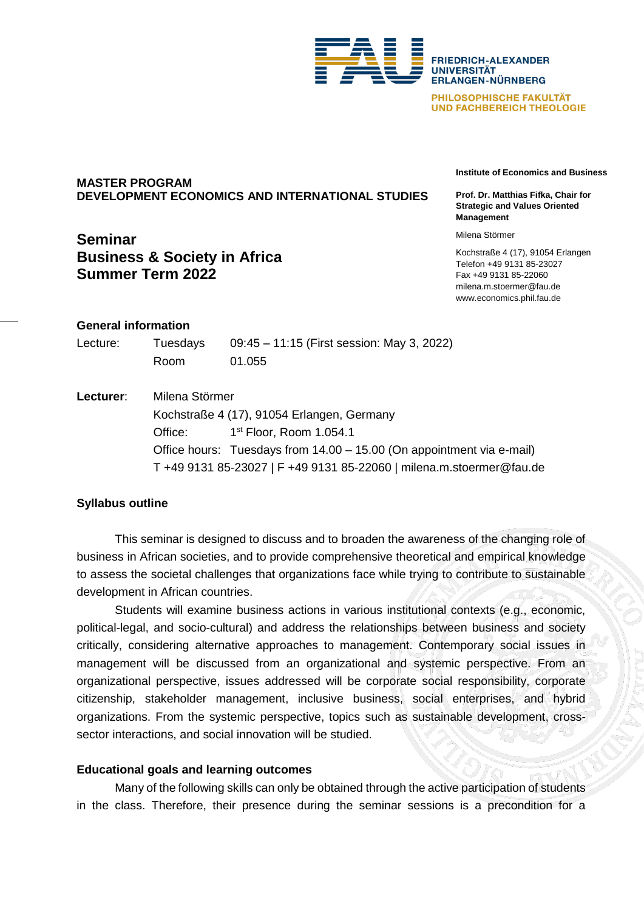

PHILOSOPHISCHE FAKULTÄT **UND FACHBEREICH THEOLOGIE** 

# **MASTER PROGRAM DEVELOPMENT ECONOMICS AND INTERNATIONAL STUDIES**

# **Seminar Business & Society in Africa Summer Term 2022**

**Institute of Economics and Business**

**Prof. Dr. Matthias Fifka, Chair for Strategic and Values Oriented Management** 

Milena Störmer

Kochstraße 4 (17), 91054 Erlangen Telefon +49 9131 85-23027 Fax +49 9131 85-22060 milena.m.stoermer@fau.de www.economics.phil.fau.de

# **General information**

| Lecture: | Tuesdays | 09:45 – 11:15 (First session: May 3, 2022) |
|----------|----------|--------------------------------------------|
|          | Room     | 01.055                                     |

**Lecturer**: Milena Störmer Kochstraße 4 (17), 91054 Erlangen, Germany Office: 1st Floor, Room 1.054.1 Office hours: Tuesdays from 14.00 – 15.00 (On appointment via e-mail) T +49 9131 85-23027 | F +49 9131 85-22060 | milena.m.stoermer@fau.de

# **Syllabus outline**

This seminar is designed to discuss and to broaden the awareness of the changing role of business in African societies, and to provide comprehensive theoretical and empirical knowledge to assess the societal challenges that organizations face while trying to contribute to sustainable development in African countries.

Students will examine business actions in various institutional contexts (e.g., economic, political-legal, and socio-cultural) and address the relationships between business and society critically, considering alternative approaches to management. Contemporary social issues in management will be discussed from an organizational and systemic perspective. From an organizational perspective, issues addressed will be corporate social responsibility, corporate citizenship, stakeholder management, inclusive business, social enterprises, and hybrid organizations. From the systemic perspective, topics such as sustainable development, crosssector interactions, and social innovation will be studied.

# **Educational goals and learning outcomes**

Many of the following skills can only be obtained through the active participation of students in the class. Therefore, their presence during the seminar sessions is a precondition for a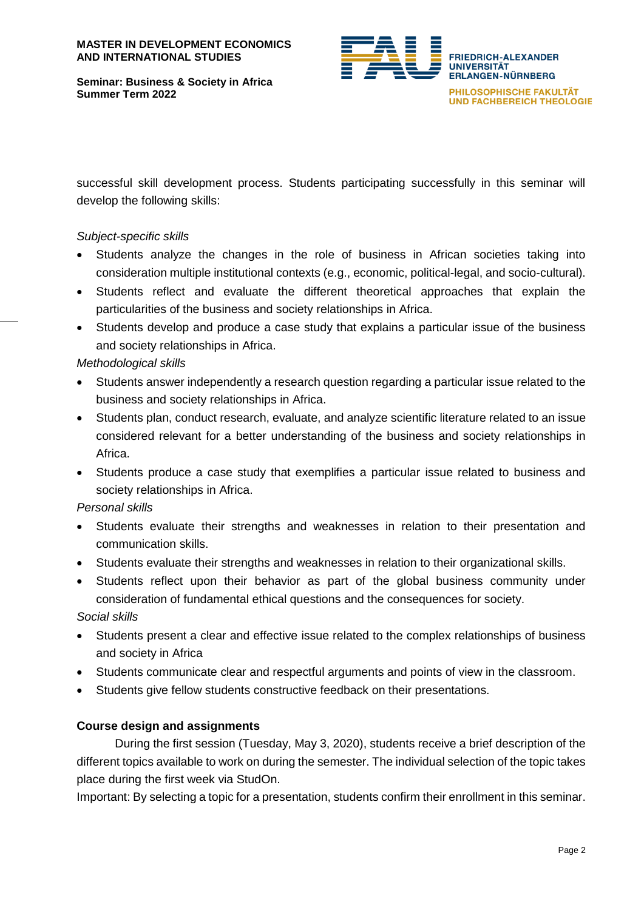**Seminar: Business & Society in Africa Summer Term 2022**



successful skill development process. Students participating successfully in this seminar will develop the following skills:

# *Subject-specific skills*

- Students analyze the changes in the role of business in African societies taking into consideration multiple institutional contexts (e.g., economic, political-legal, and socio-cultural).
- Students reflect and evaluate the different theoretical approaches that explain the particularities of the business and society relationships in Africa.
- Students develop and produce a case study that explains a particular issue of the business and society relationships in Africa.

# *Methodological skills*

- Students answer independently a research question regarding a particular issue related to the business and society relationships in Africa.
- Students plan, conduct research, evaluate, and analyze scientific literature related to an issue considered relevant for a better understanding of the business and society relationships in Africa.
- Students produce a case study that exemplifies a particular issue related to business and society relationships in Africa.

### *Personal skills*

- Students evaluate their strengths and weaknesses in relation to their presentation and communication skills.
- Students evaluate their strengths and weaknesses in relation to their organizational skills.
- Students reflect upon their behavior as part of the global business community under consideration of fundamental ethical questions and the consequences for society.

*Social skills*

- Students present a clear and effective issue related to the complex relationships of business and society in Africa
- Students communicate clear and respectful arguments and points of view in the classroom.
- Students give fellow students constructive feedback on their presentations.

### **Course design and assignments**

During the first session (Tuesday, May 3, 2020), students receive a brief description of the different topics available to work on during the semester. The individual selection of the topic takes place during the first week via StudOn.

Important: By selecting a topic for a presentation, students confirm their enrollment in this seminar.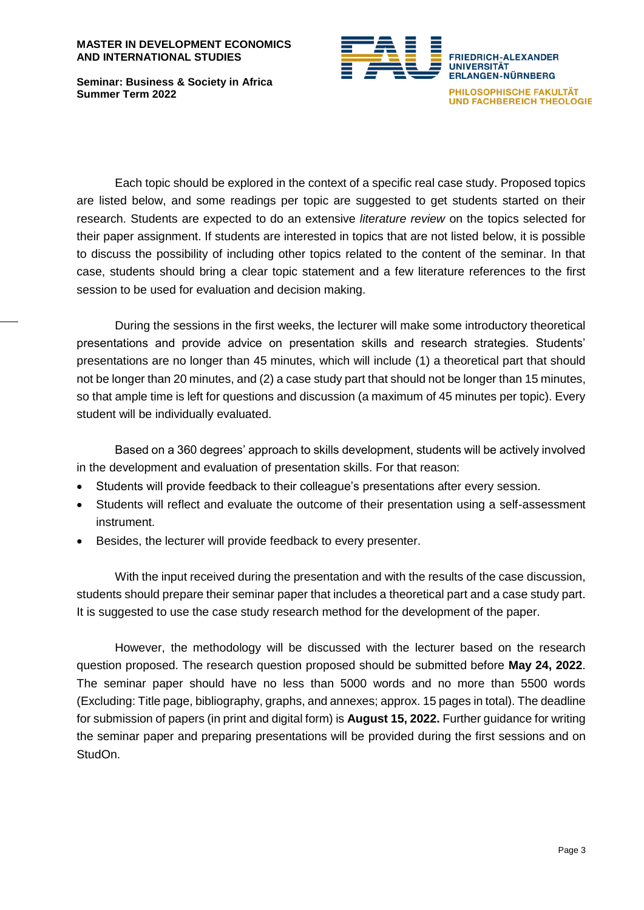#### **MASTER IN DEVELOPMENT ECONOMICS AND INTERNATIONAL STUDIES**

**Seminar: Business & Society in Africa Summer Term 2022**



Each topic should be explored in the context of a specific real case study. Proposed topics are listed below, and some readings per topic are suggested to get students started on their research. Students are expected to do an extensive *literature review* on the topics selected for their paper assignment. If students are interested in topics that are not listed below, it is possible to discuss the possibility of including other topics related to the content of the seminar. In that case, students should bring a clear topic statement and a few literature references to the first session to be used for evaluation and decision making.

During the sessions in the first weeks, the lecturer will make some introductory theoretical presentations and provide advice on presentation skills and research strategies. Students' presentations are no longer than 45 minutes, which will include (1) a theoretical part that should not be longer than 20 minutes, and (2) a case study part that should not be longer than 15 minutes, so that ample time is left for questions and discussion (a maximum of 45 minutes per topic). Every student will be individually evaluated.

Based on a 360 degrees' approach to skills development, students will be actively involved in the development and evaluation of presentation skills. For that reason:

- Students will provide feedback to their colleague's presentations after every session.
- Students will reflect and evaluate the outcome of their presentation using a self-assessment instrument.
- Besides, the lecturer will provide feedback to every presenter.

With the input received during the presentation and with the results of the case discussion, students should prepare their seminar paper that includes a theoretical part and a case study part. It is suggested to use the case study research method for the development of the paper.

However, the methodology will be discussed with the lecturer based on the research question proposed. The research question proposed should be submitted before **May 24, 2022**. The seminar paper should have no less than 5000 words and no more than 5500 words (Excluding: Title page, bibliography, graphs, and annexes; approx. 15 pages in total). The deadline for submission of papers (in print and digital form) is **August 15, 2022.** Further guidance for writing the seminar paper and preparing presentations will be provided during the first sessions and on StudOn.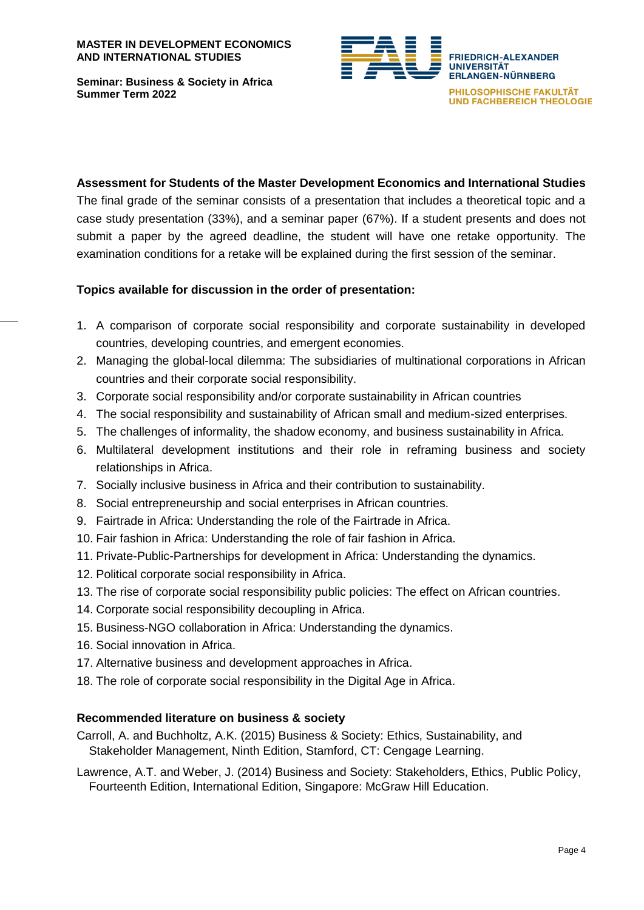**FRIEDRICH-ALEXANDER UNIVERSITÄT ERLANGEN-NÜRNBERG** PHILOSOPHISCHE FAKULTÄT **UND FACHBEREICH THEOLOGIE** 

**Seminar: Business & Society in Africa Summer Term 2022**

### **Assessment for Students of the Master Development Economics and International Studies**

The final grade of the seminar consists of a presentation that includes a theoretical topic and a case study presentation (33%), and a seminar paper (67%). If a student presents and does not submit a paper by the agreed deadline, the student will have one retake opportunity. The examination conditions for a retake will be explained during the first session of the seminar.

# **Topics available for discussion in the order of presentation:**

- 1. A comparison of corporate social responsibility and corporate sustainability in developed countries, developing countries, and emergent economies.
- 2. Managing the global-local dilemma: The subsidiaries of multinational corporations in African countries and their corporate social responsibility.
- 3. Corporate social responsibility and/or corporate sustainability in African countries
- 4. The social responsibility and sustainability of African small and medium-sized enterprises.
- 5. The challenges of informality, the shadow economy, and business sustainability in Africa.
- 6. Multilateral development institutions and their role in reframing business and society relationships in Africa.
- 7. Socially inclusive business in Africa and their contribution to sustainability.
- 8. Social entrepreneurship and social enterprises in African countries.
- 9. Fairtrade in Africa: Understanding the role of the Fairtrade in Africa.
- 10. Fair fashion in Africa: Understanding the role of fair fashion in Africa.
- 11. Private-Public-Partnerships for development in Africa: Understanding the dynamics.
- 12. Political corporate social responsibility in Africa.
- 13. The rise of corporate social responsibility public policies: The effect on African countries.
- 14. Corporate social responsibility decoupling in Africa.
- 15. Business-NGO collaboration in Africa: Understanding the dynamics.
- 16. Social innovation in Africa.
- 17. Alternative business and development approaches in Africa.
- 18. The role of corporate social responsibility in the Digital Age in Africa.

### **Recommended literature on business & society**

Carroll, A. and Buchholtz, A.K. (2015) Business & Society: Ethics, Sustainability, and Stakeholder Management, Ninth Edition, Stamford, CT: Cengage Learning.

Lawrence, A.T. and Weber, J. (2014) Business and Society: Stakeholders, Ethics, Public Policy, Fourteenth Edition, International Edition, Singapore: McGraw Hill Education.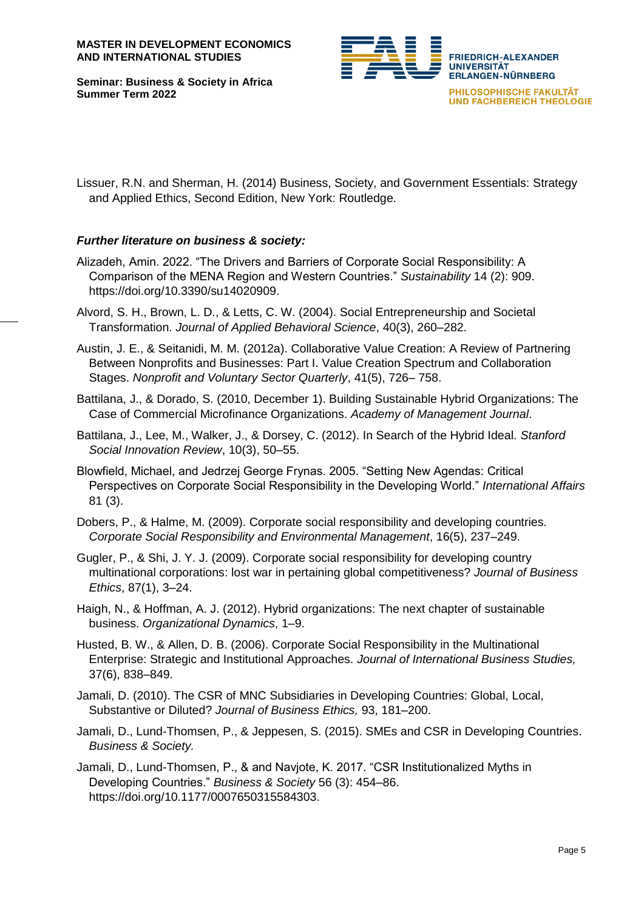**Seminar: Business & Society in Africa Summer Term 2022**



Lissuer, R.N. and Sherman, H. (2014) Business, Society, and Government Essentials: Strategy and Applied Ethics, Second Edition, New York: Routledge.

# *Further literature on business & society:*

- Alizadeh, Amin. 2022. "The Drivers and Barriers of Corporate Social Responsibility: A Comparison of the MENA Region and Western Countries." *Sustainability* 14 (2): 909. https://doi.org/10.3390/su14020909.
- Alvord, S. H., Brown, L. D., & Letts, C. W. (2004). Social Entrepreneurship and Societal Transformation. *Journal of Applied Behavioral Science*, 40(3), 260–282.
- Austin, J. E., & Seitanidi, M. M. (2012a). Collaborative Value Creation: A Review of Partnering Between Nonprofits and Businesses: Part I. Value Creation Spectrum and Collaboration Stages. *Nonprofit and Voluntary Sector Quarterly*, 41(5), 726– 758.
- Battilana, J., & Dorado, S. (2010, December 1). Building Sustainable Hybrid Organizations: The Case of Commercial Microfinance Organizations. *Academy of Management Journal*.
- Battilana, J., Lee, M., Walker, J., & Dorsey, C. (2012). In Search of the Hybrid Ideal. *Stanford Social Innovation Review*, 10(3), 50–55.
- Blowfield, Michael, and Jedrzej George Frynas. 2005. "Setting New Agendas: Critical Perspectives on Corporate Social Responsibility in the Developing World." *International Affairs* 81 (3).

Dobers, P., & Halme, M. (2009). Corporate social responsibility and developing countries. *Corporate Social Responsibility and Environmental Management*, 16(5), 237–249.

- Gugler, P., & Shi, J. Y. J. (2009). Corporate social responsibility for developing country multinational corporations: lost war in pertaining global competitiveness? *Journal of Business Ethics*, 87(1), 3–24.
- Haigh, N., & Hoffman, A. J. (2012). Hybrid organizations: The next chapter of sustainable business. *Organizational Dynamics*, 1–9.
- Husted, B. W., & Allen, D. B. (2006). Corporate Social Responsibility in the Multinational Enterprise: Strategic and Institutional Approaches. *Journal of International Business Studies,* 37(6), 838–849.
- Jamali, D. (2010). The CSR of MNC Subsidiaries in Developing Countries: Global, Local, Substantive or Diluted? *Journal of Business Ethics,* 93, 181–200.
- Jamali, D., Lund-Thomsen, P., & Jeppesen, S. (2015). SMEs and CSR in Developing Countries. *Business & Society.*
- Jamali, D., Lund-Thomsen, P., & and Navjote, K. 2017. "CSR Institutionalized Myths in Developing Countries." *Business & Society* 56 (3): 454–86. https://doi.org/10.1177/0007650315584303.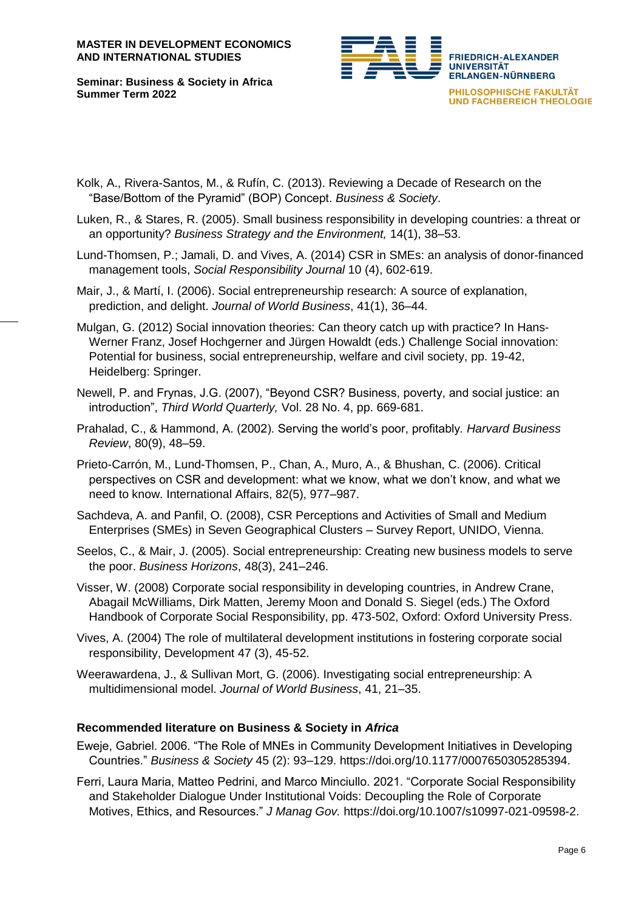#### **MASTER IN DEVELOPMENT ECONOMICS AND INTERNATIONAL STUDIES**

**Seminar: Business & Society in Africa Summer Term 2022**



- Kolk, A., Rivera-Santos, M., & Rufín, C. (2013). Reviewing a Decade of Research on the "Base/Bottom of the Pyramid" (BOP) Concept. *Business & Society*.
- Luken, R., & Stares, R. (2005). Small business responsibility in developing countries: a threat or an opportunity? *Business Strategy and the Environment,* 14(1), 38–53.
- Lund-Thomsen, P.; Jamali, D. and Vives, A. (2014) CSR in SMEs: an analysis of donor-financed management tools, *Social Responsibility Journal* 10 (4), 602-619.

Mair, J., & Martí, I. (2006). Social entrepreneurship research: A source of explanation, prediction, and delight. *Journal of World Business*, 41(1), 36–44.

- Mulgan, G. (2012) Social innovation theories: Can theory catch up with practice? In Hans-Werner Franz, Josef Hochgerner and Jürgen Howaldt (eds.) Challenge Social innovation: Potential for business, social entrepreneurship, welfare and civil society, pp. 19-42, Heidelberg: Springer.
- Newell, P. and Frynas, J.G. (2007), "Beyond CSR? Business, poverty, and social justice: an introduction", *Third World Quarterly,* Vol. 28 No. 4, pp. 669-681.
- Prahalad, C., & Hammond, A. (2002). Serving the world's poor, profitably*. Harvard Business Review*, 80(9), 48–59.
- Prieto-Carrón, M., Lund-Thomsen, P., Chan, A., Muro, A., & Bhushan, C. (2006). Critical perspectives on CSR and development: what we know, what we don't know, and what we need to know. International Affairs, 82(5), 977–987.
- Sachdeva, A. and Panfil, O. (2008), CSR Perceptions and Activities of Small and Medium Enterprises (SMEs) in Seven Geographical Clusters – Survey Report, UNIDO, Vienna.
- Seelos, C., & Mair, J. (2005). Social entrepreneurship: Creating new business models to serve the poor. *Business Horizons*, 48(3), 241–246.
- Visser, W. (2008) Corporate social responsibility in developing countries, in Andrew Crane, Abagail McWilliams, Dirk Matten, Jeremy Moon and Donald S. Siegel (eds.) The Oxford Handbook of Corporate Social Responsibility, pp. 473-502, Oxford: Oxford University Press.
- Vives, A. (2004) The role of multilateral development institutions in fostering corporate social responsibility, Development 47 (3), 45-52.
- Weerawardena, J., & Sullivan Mort, G. (2006). Investigating social entrepreneurship: A multidimensional model. *Journal of World Business*, 41, 21–35.

### **Recommended literature on Business & Society in** *Africa*

- Eweje, Gabriel. 2006. "The Role of MNEs in Community Development Initiatives in Developing Countries." *Business & Society* 45 (2): 93–129. https://doi.org/10.1177/0007650305285394.
- Ferri, Laura Maria, Matteo Pedrini, and Marco Minciullo. 2021. "Corporate Social Responsibility and Stakeholder Dialogue Under Institutional Voids: Decoupling the Role of Corporate Motives, Ethics, and Resources." *J Manag Gov.* https://doi.org/10.1007/s10997-021-09598-2.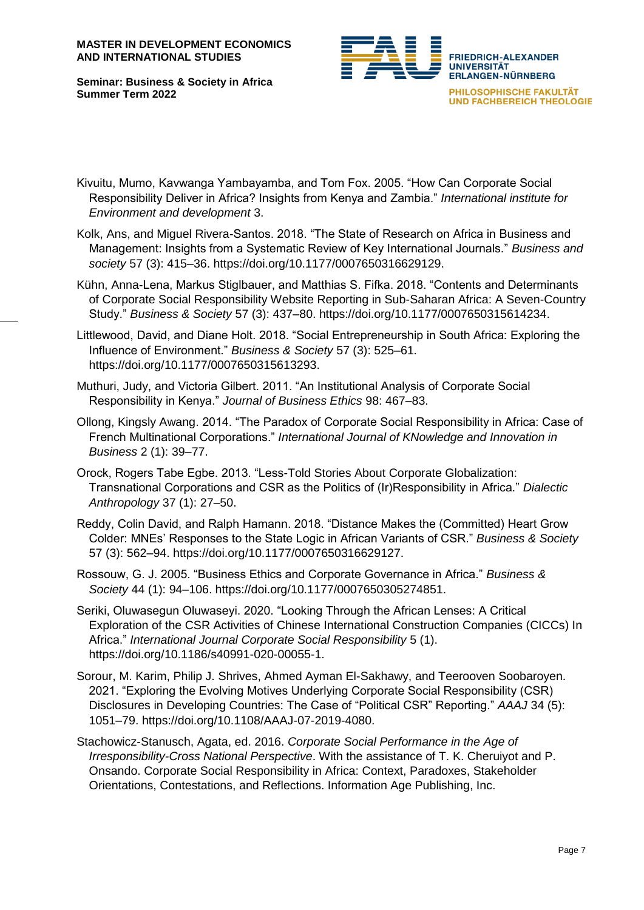**FRIEDRICH-ALEXANDER UNIVERSITÄT ERLANGEN-NÜRNBERG** PHILOSOPHISCHE FAKULTÄT **UND FACHBEREICH THEOLOGIE** 

**Seminar: Business & Society in Africa Summer Term 2022**

- Kivuitu, Mumo, Kavwanga Yambayamba, and Tom Fox. 2005. "How Can Corporate Social Responsibility Deliver in Africa? Insights from Kenya and Zambia." *International institute for Environment and development* 3.
- Kolk, Ans, and Miguel Rivera-Santos. 2018. "The State of Research on Africa in Business and Management: Insights from a Systematic Review of Key International Journals." *Business and society* 57 (3): 415–36. https://doi.org/10.1177/0007650316629129.
- Kühn, Anna-Lena, Markus Stiglbauer, and Matthias S. Fifka. 2018. "Contents and Determinants of Corporate Social Responsibility Website Reporting in Sub-Saharan Africa: A Seven-Country Study." *Business & Society* 57 (3): 437–80. https://doi.org/10.1177/0007650315614234.
- Littlewood, David, and Diane Holt. 2018. "Social Entrepreneurship in South Africa: Exploring the Influence of Environment." *Business & Society* 57 (3): 525–61. https://doi.org/10.1177/0007650315613293.
- Muthuri, Judy, and Victoria Gilbert. 2011. "An Institutional Analysis of Corporate Social Responsibility in Kenya." *Journal of Business Ethics* 98: 467–83.
- Ollong, Kingsly Awang. 2014. "The Paradox of Corporate Social Responsibility in Africa: Case of French Multinational Corporations." *International Journal of KNowledge and Innovation in Business* 2 (1): 39–77.
- Orock, Rogers Tabe Egbe. 2013. "Less-Told Stories About Corporate Globalization: Transnational Corporations and CSR as the Politics of (Ir)Responsibility in Africa." *Dialectic Anthropology* 37 (1): 27–50.
- Reddy, Colin David, and Ralph Hamann. 2018. "Distance Makes the (Committed) Heart Grow Colder: MNEs' Responses to the State Logic in African Variants of CSR." *Business & Society* 57 (3): 562–94. https://doi.org/10.1177/0007650316629127.
- Rossouw, G. J. 2005. "Business Ethics and Corporate Governance in Africa." *Business & Society* 44 (1): 94–106. https://doi.org/10.1177/0007650305274851.
- Seriki, Oluwasegun Oluwaseyi. 2020. "Looking Through the African Lenses: A Critical Exploration of the CSR Activities of Chinese International Construction Companies (CICCs) In Africa." *International Journal Corporate Social Responsibility* 5 (1). https://doi.org/10.1186/s40991-020-00055-1.
- Sorour, M. Karim, Philip J. Shrives, Ahmed Ayman El-Sakhawy, and Teerooven Soobaroyen. 2021. "Exploring the Evolving Motives Underlying Corporate Social Responsibility (CSR) Disclosures in Developing Countries: The Case of "Political CSR" Reporting." *AAAJ* 34 (5): 1051–79. https://doi.org/10.1108/AAAJ-07-2019-4080.
- Stachowicz-Stanusch, Agata, ed. 2016. *Corporate Social Performance in the Age of Irresponsibility-Cross National Perspective*. With the assistance of T. K. Cheruiyot and P. Onsando. Corporate Social Responsibility in Africa: Context, Paradoxes, Stakeholder Orientations, Contestations, and Reflections. Information Age Publishing, Inc.